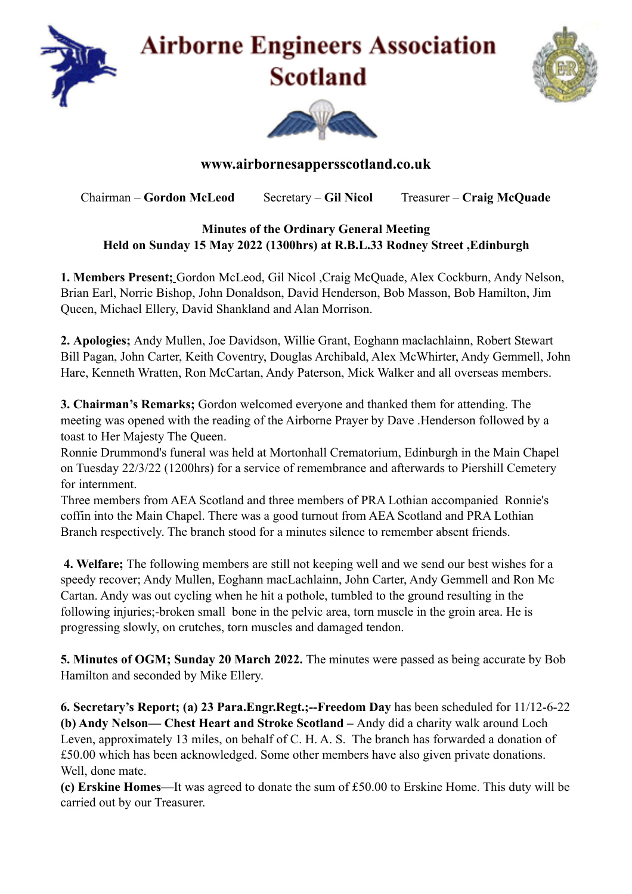

## **Airborne Engineers Association Scotland**





## **www.airbornesappersscotland.co.uk**

Chairman – **Gordon McLeod** Secretary – **Gil Nicol** Treasurer – **Craig McQuade** 

## **Minutes of the Ordinary General Meeting Held on Sunday 15 May 2022 (1300hrs) at R.B.L.33 Rodney Street ,Edinburgh**

**1. Members Present;** Gordon McLeod, Gil Nicol ,Craig McQuade, Alex Cockburn, Andy Nelson, Brian Earl, Norrie Bishop, John Donaldson, David Henderson, Bob Masson, Bob Hamilton, Jim Queen, Michael Ellery, David Shankland and Alan Morrison.

**2. Apologies;** Andy Mullen, Joe Davidson, Willie Grant, Eoghann maclachlainn, Robert Stewart Bill Pagan, John Carter, Keith Coventry, Douglas Archibald, Alex McWhirter, Andy Gemmell, John Hare, Kenneth Wratten, Ron McCartan, Andy Paterson, Mick Walker and all overseas members.

**3. Chairman's Remarks;** Gordon welcomed everyone and thanked them for attending. The meeting was opened with the reading of the Airborne Prayer by Dave .Henderson followed by a toast to Her Majesty The Queen.

Ronnie Drummond's funeral was held at Mortonhall Crematorium, Edinburgh in the Main Chapel on Tuesday 22/3/22 (1200hrs) for a service of remembrance and afterwards to Piershill Cemetery for internment.

Three members from AEA Scotland and three members of PRA Lothian accompanied Ronnie's coffin into the Main Chapel. There was a good turnout from AEA Scotland and PRA Lothian Branch respectively. The branch stood for a minutes silence to remember absent friends.

 **4. Welfare;** The following members are still not keeping well and we send our best wishes for a speedy recover; Andy Mullen, Eoghann macLachlainn, John Carter, Andy Gemmell and Ron Mc Cartan. Andy was out cycling when he hit a pothole, tumbled to the ground resulting in the following injuries;-broken small bone in the pelvic area, torn muscle in the groin area. He is progressing slowly, on crutches, torn muscles and damaged tendon.

**5. Minutes of OGM; Sunday 20 March 2022.** The minutes were passed as being accurate by Bob Hamilton and seconded by Mike Ellery.

**6. Secretary's Report; (a) 23 Para.Engr.Regt.;--Freedom Day** has been scheduled for 11/12-6-22 **(b) Andy Nelson— Chest Heart and Stroke Scotland –** Andy did a charity walk around Loch Leven, approximately 13 miles, on behalf of C. H. A. S. The branch has forwarded a donation of £50.00 which has been acknowledged. Some other members have also given private donations. Well, done mate.

**(c) Erskine Homes**—It was agreed to donate the sum of £50.00 to Erskine Home. This duty will be carried out by our Treasurer.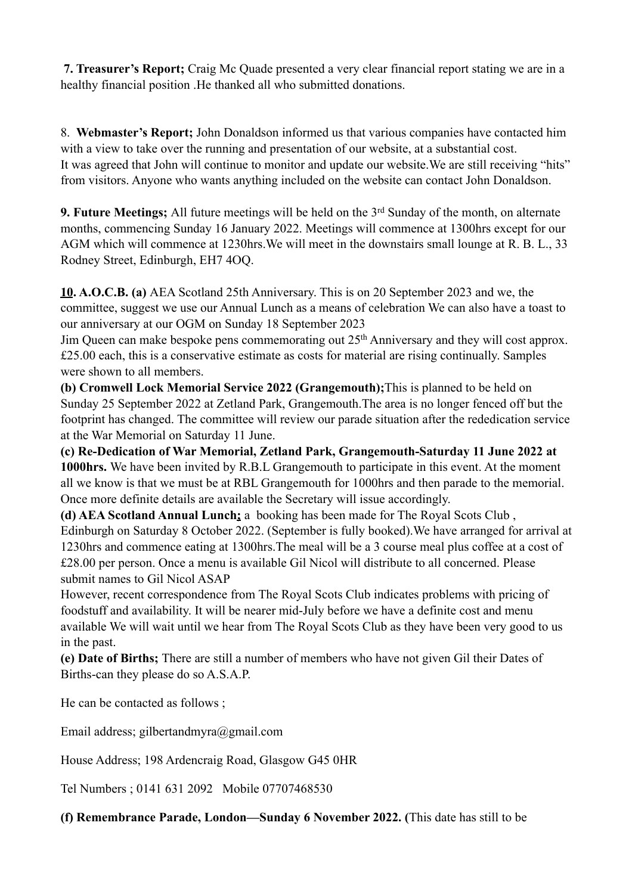**7. Treasurer's Report;** Craig Mc Quade presented a very clear financial report stating we are in a healthy financial position .He thanked all who submitted donations.

8. **Webmaster's Report;** John Donaldson informed us that various companies have contacted him with a view to take over the running and presentation of our website, at a substantial cost. It was agreed that John will continue to monitor and update our website.We are still receiving "hits" from visitors. Anyone who wants anything included on the website can contact John Donaldson.

**9. Future Meetings;** All future meetings will be held on the 3<sup>rd</sup> Sunday of the month, on alternate months, commencing Sunday 16 January 2022. Meetings will commence at 1300hrs except for our AGM which will commence at 1230hrs.We will meet in the downstairs small lounge at R. B. L., 33 Rodney Street, Edinburgh, EH7 4OQ.

**10. A.O.C.B. (a)** AEA Scotland 25th Anniversary. This is on 20 September 2023 and we, the committee, suggest we use our Annual Lunch as a means of celebration We can also have a toast to our anniversary at our OGM on Sunday 18 September 2023

Jim Queen can make bespoke pens commemorating out 25th Anniversary and they will cost approx. £25.00 each, this is a conservative estimate as costs for material are rising continually. Samples were shown to all members.

**(b) Cromwell Lock Memorial Service 2022 (Grangemouth);**This is planned to be held on Sunday 25 September 2022 at Zetland Park, Grangemouth.The area is no longer fenced off but the footprint has changed. The committee will review our parade situation after the rededication service at the War Memorial on Saturday 11 June.

**(c) Re-Dedication of War Memorial, Zetland Park, Grangemouth-Saturday 11 June 2022 at 1000hrs.** We have been invited by R.B.L Grangemouth to participate in this event. At the moment all we know is that we must be at RBL Grangemouth for 1000hrs and then parade to the memorial. Once more definite details are available the Secretary will issue accordingly.

**(d) AEA Scotland Annual Lunch;** a booking has been made for The Royal Scots Club , Edinburgh on Saturday 8 October 2022. (September is fully booked).We have arranged for arrival at 1230hrs and commence eating at 1300hrs.The meal will be a 3 course meal plus coffee at a cost of £28.00 per person. Once a menu is available Gil Nicol will distribute to all concerned. Please submit names to Gil Nicol ASAP

However, recent correspondence from The Royal Scots Club indicates problems with pricing of foodstuff and availability. It will be nearer mid-July before we have a definite cost and menu available We will wait until we hear from The Royal Scots Club as they have been very good to us in the past.

**(e) Date of Births;** There are still a number of members who have not given Gil their Dates of Births-can they please do so A.S.A.P.

He can be contacted as follows ;

Email address; gilbertandmyra@gmail.com

House Address; 198 Ardencraig Road, Glasgow G45 0HR

Tel Numbers ; 0141 631 2092 Mobile 07707468530

**(f) Remembrance Parade, London—Sunday 6 November 2022. (**This date has still to be